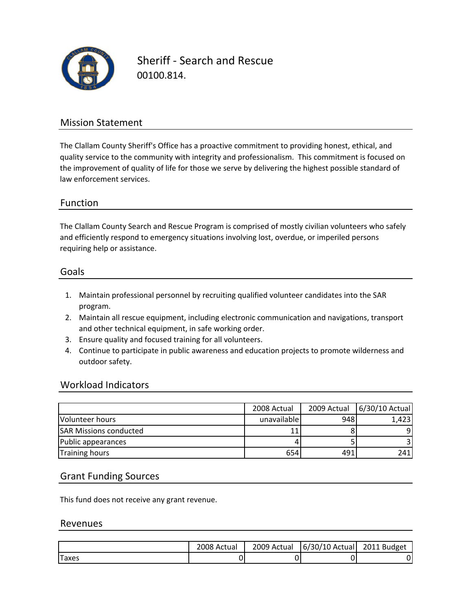

Sheriff ‐ Search and Rescue 00100.814.

### Mission Statement

The Clallam County Sheriff's Office has a proactive commitment to providing honest, ethical, and quality service to the community with integrity and professionalism. This commitment is focused on the improvement of quality of life for those we serve by delivering the highest possible standard of law enforcement services.

### Function

The Clallam County Search and Rescue Program is comprised of mostly civilian volunteers who safely and efficiently respond to emergency situations involving lost, overdue, or imperiled persons requiring help or assistance.

#### Goals

- 1. Maintain professional personnel by recruiting qualified volunteer candidates into the SAR program.
- 2. Maintain all rescue equipment, including electronic communication and navigations, transport and other technical equipment, in safe working order.
- 3. Ensure quality and focused training for all volunteers.
- 4. Continue to participate in public awareness and education projects to promote wilderness and outdoor safety.

#### Workload Indicators

|                               | 2008 Actual |      | 2009 Actual   6/30/10 Actual |
|-------------------------------|-------------|------|------------------------------|
| Volunteer hours               | unavailable | 9481 | 1.423                        |
| <b>SAR Missions conducted</b> |             |      | q                            |
| Public appearances            |             |      |                              |
| <b>Training hours</b>         | 654         | 491  | 241                          |

#### Grant Funding Sources

This fund does not receive any grant revenue.

#### Revenues

|       | 2008 Actual | 2009 Actual | 6/30/10 Actual | 2011 Budget |
|-------|-------------|-------------|----------------|-------------|
| Taxes |             |             |                |             |